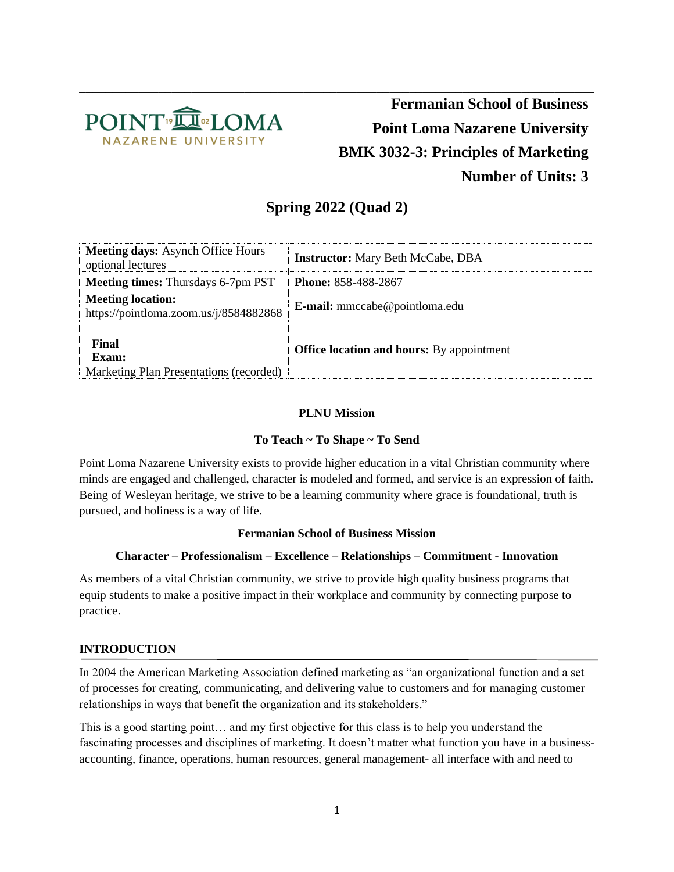

\_\_\_\_\_\_\_\_\_\_\_\_\_\_\_\_\_\_\_\_\_\_\_\_\_\_\_\_\_\_\_\_\_\_\_\_\_\_\_\_\_\_\_\_\_\_\_\_\_\_\_\_\_\_\_\_\_\_\_\_\_\_\_\_\_\_\_\_\_\_\_\_\_\_\_\_\_\_ **Fermanian School of Business Point Loma Nazarene University BMK 3032-3: Principles of Marketing Number of Units: 3**

## **Spring 2022 (Quad 2)**

| <b>Meeting days:</b> Asynch Office Hours<br>optional lectures      | <b>Instructor:</b> Mary Beth McCabe, DBA         |
|--------------------------------------------------------------------|--------------------------------------------------|
| <b>Meeting times:</b> Thursdays 6-7pm PST                          | <b>Phone: 858-488-2867</b>                       |
| <b>Meeting location:</b><br>https://pointloma.zoom.us/j/8584882868 | <b>E-mail:</b> mmccabe@pointloma.edu             |
| Final<br>Exam:<br>Marketing Plan Presentations (recorded)          | <b>Office location and hours:</b> By appointment |

#### **PLNU Mission**

#### **To Teach ~ To Shape ~ To Send**

Point Loma Nazarene University exists to provide higher education in a vital Christian community where minds are engaged and challenged, character is modeled and formed, and service is an expression of faith. Being of Wesleyan heritage, we strive to be a learning community where grace is foundational, truth is pursued, and holiness is a way of life.

#### **Fermanian School of Business Mission**

#### **Character – Professionalism – Excellence – Relationships – Commitment - Innovation**

As members of a vital Christian community, we strive to provide high quality business programs that equip students to make a positive impact in their workplace and community by connecting purpose to practice.

#### **INTRODUCTION**

In 2004 the American Marketing Association defined marketing as "an organizational function and a set of processes for creating, communicating, and delivering value to customers and for managing customer relationships in ways that benefit the organization and its stakeholders."

This is a good starting point… and my first objective for this class is to help you understand the fascinating processes and disciplines of marketing. It doesn't matter what function you have in a businessaccounting, finance, operations, human resources, general management- all interface with and need to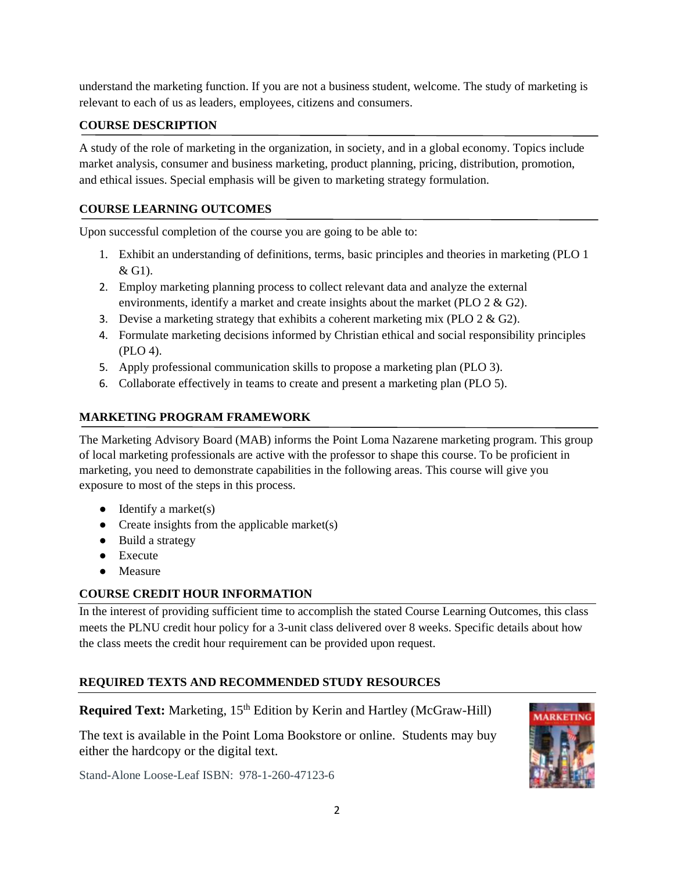understand the marketing function. If you are not a business student, welcome. The study of marketing is relevant to each of us as leaders, employees, citizens and consumers.

#### **COURSE DESCRIPTION**

A study of the role of marketing in the organization, in society, and in a global economy. Topics include market analysis, consumer and business marketing, product planning, pricing, distribution, promotion, and ethical issues. Special emphasis will be given to marketing strategy formulation.

## **COURSE LEARNING OUTCOMES**

Upon successful completion of the course you are going to be able to:

- 1. Exhibit an understanding of definitions, terms, basic principles and theories in marketing (PLO 1 & G1).
- 2. Employ marketing planning process to collect relevant data and analyze the external environments, identify a market and create insights about the market (PLO 2 & G2).
- 3. Devise a marketing strategy that exhibits a coherent marketing mix (PLO  $2 \& G2$ ).
- 4. Formulate marketing decisions informed by Christian ethical and social responsibility principles (PLO 4).
- 5. Apply professional communication skills to propose a marketing plan (PLO 3).
- 6. Collaborate effectively in teams to create and present a marketing plan (PLO 5).

## **MARKETING PROGRAM FRAMEWORK**

The Marketing Advisory Board (MAB) informs the Point Loma Nazarene marketing program. This group of local marketing professionals are active with the professor to shape this course. To be proficient in marketing, you need to demonstrate capabilities in the following areas. This course will give you exposure to most of the steps in this process.

- $\bullet$  Identify a market(s)
- Create insights from the applicable market(s)
- Build a strategy
- Execute
- Measure

## **COURSE CREDIT HOUR INFORMATION**

In the interest of providing sufficient time to accomplish the stated Course Learning Outcomes, this class meets the PLNU credit hour policy for a 3-unit class delivered over 8 weeks. Specific details about how the class meets the credit hour requirement can be provided upon request.

## **REQUIRED TEXTS AND RECOMMENDED STUDY RESOURCES**

**Required Text:** Marketing, 15<sup>th</sup> Edition by Kerin and Hartley (McGraw-Hill)

The text is available in the Point Loma Bookstore or online. Students may buy either the hardcopy or the digital text.

Stand-Alone Loose-Leaf ISBN: 978-1-260-47123-6

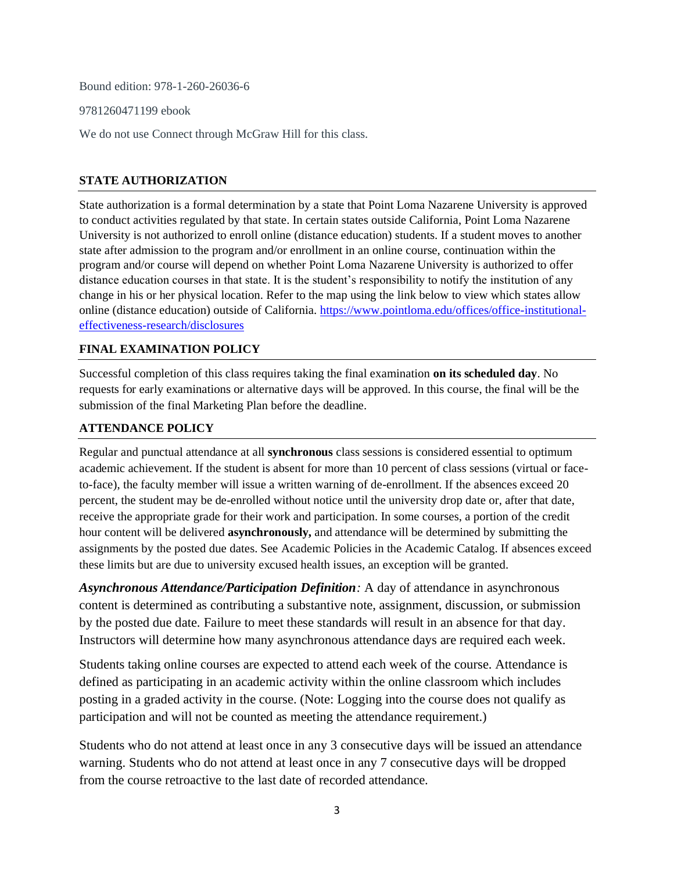Bound edition: 978-1-260-26036-6

9781260471199 ebook

We do not use Connect through McGraw Hill for this class.

#### **STATE AUTHORIZATION**

State authorization is a formal determination by a state that Point Loma Nazarene University is approved to conduct activities regulated by that state. In certain states outside California, Point Loma Nazarene University is not authorized to enroll online (distance education) students. If a student moves to another state after admission to the program and/or enrollment in an online course, continuation within the program and/or course will depend on whether Point Loma Nazarene University is authorized to offer distance education courses in that state. It is the student's responsibility to notify the institution of any change in his or her physical location. Refer to the map using the link below to view which states allow online (distance education) outside of California. [https://www.pointloma.edu/offices/office-institutional](https://www.pointloma.edu/offices/office-institutional-effectiveness-research/disclosures)[effectiveness-research/disclosures](https://www.pointloma.edu/offices/office-institutional-effectiveness-research/disclosures)

#### **FINAL EXAMINATION POLICY**

Successful completion of this class requires taking the final examination **on its scheduled day**. No requests for early examinations or alternative days will be approved. In this course, the final will be the submission of the final Marketing Plan before the deadline.

#### **ATTENDANCE POLICY**

Regular and punctual attendance at all **synchronous** class sessions is considered essential to optimum academic achievement. If the student is absent for more than 10 percent of class sessions (virtual or faceto-face), the faculty member will issue a written warning of de-enrollment. If the absences exceed 20 percent, the student may be de-enrolled without notice until the university drop date or, after that date, receive the appropriate grade for their work and participation. In some courses, a portion of the credit hour content will be delivered **asynchronously,** and attendance will be determined by submitting the assignments by the posted due dates. See Academic Policies in the Academic Catalog. If absences exceed these limits but are due to university excused health issues, an exception will be granted.

*Asynchronous Attendance/Participation Definition:* A day of attendance in asynchronous content is determined as contributing a substantive note, assignment, discussion, or submission by the posted due date. Failure to meet these standards will result in an absence for that day. Instructors will determine how many asynchronous attendance days are required each week.

Students taking online courses are expected to attend each week of the course. Attendance is defined as participating in an academic activity within the online classroom which includes posting in a graded activity in the course. (Note: Logging into the course does not qualify as participation and will not be counted as meeting the attendance requirement.)

Students who do not attend at least once in any 3 consecutive days will be issued an attendance warning. Students who do not attend at least once in any 7 consecutive days will be dropped from the course retroactive to the last date of recorded attendance.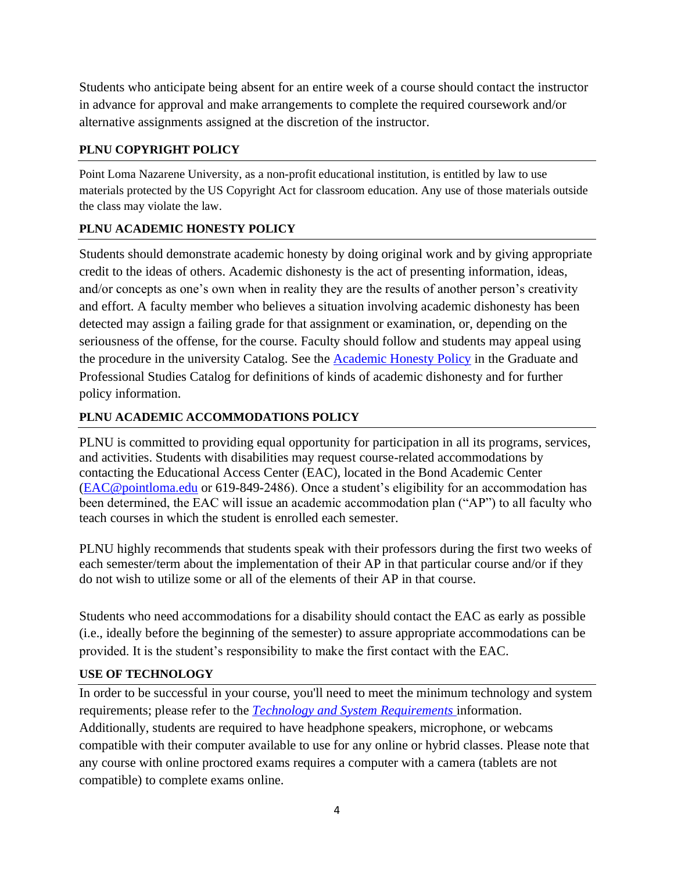Students who anticipate being absent for an entire week of a course should contact the instructor in advance for approval and make arrangements to complete the required coursework and/or alternative assignments assigned at the discretion of the instructor.

## **PLNU COPYRIGHT POLICY**

Point Loma Nazarene University, as a non-profit educational institution, is entitled by law to use materials protected by the US Copyright Act for classroom education. Any use of those materials outside the class may violate the law.

## **PLNU ACADEMIC HONESTY POLICY**

Students should demonstrate academic honesty by doing original work and by giving appropriate credit to the ideas of others. Academic dishonesty is the act of presenting information, ideas, and/or concepts as one's own when in reality they are the results of another person's creativity and effort. A faculty member who believes a situation involving academic dishonesty has been detected may assign a failing grade for that assignment or examination, or, depending on the seriousness of the offense, for the course. Faculty should follow and students may appeal using the procedure in the university Catalog. See the Academic [Honesty Policy](https://catalog.pointloma.edu/content.php?catoid=54&navoid=3048#Academic_Honesty) in the Graduate and Professional Studies Catalog for definitions of kinds of academic dishonesty and for further policy information.

## **PLNU ACADEMIC ACCOMMODATIONS POLICY**

PLNU is committed to providing equal opportunity for participation in all its programs, services, and activities. Students with disabilities may request course-related accommodations by contacting the Educational Access Center (EAC), located in the Bond Academic Center [\(EAC@pointloma.edu](mailto:EAC@pointloma.edu) or 619-849-2486). Once a student's eligibility for an accommodation has been determined, the EAC will issue an academic accommodation plan ("AP") to all faculty who teach courses in which the student is enrolled each semester.

PLNU highly recommends that students speak with their professors during the first two weeks of each semester/term about the implementation of their AP in that particular course and/or if they do not wish to utilize some or all of the elements of their AP in that course.

Students who need accommodations for a disability should contact the EAC as early as possible (i.e., ideally before the beginning of the semester) to assure appropriate accommodations can be provided. It is the student's responsibility to make the first contact with the EAC.

## **USE OF TECHNOLOGY**

In order to be successful in your course, you'll need to meet the minimum technology and system requirements; please refer to the *[Technology and System Requirements](https://help.pointloma.edu/TDClient/1808/Portal/KB/ArticleDet?ID=108349)* information. Additionally, students are required to have headphone speakers, microphone, or webcams compatible with their computer available to use for any online or hybrid classes. Please note that any course with online proctored exams requires a computer with a camera (tablets are not compatible) to complete exams online.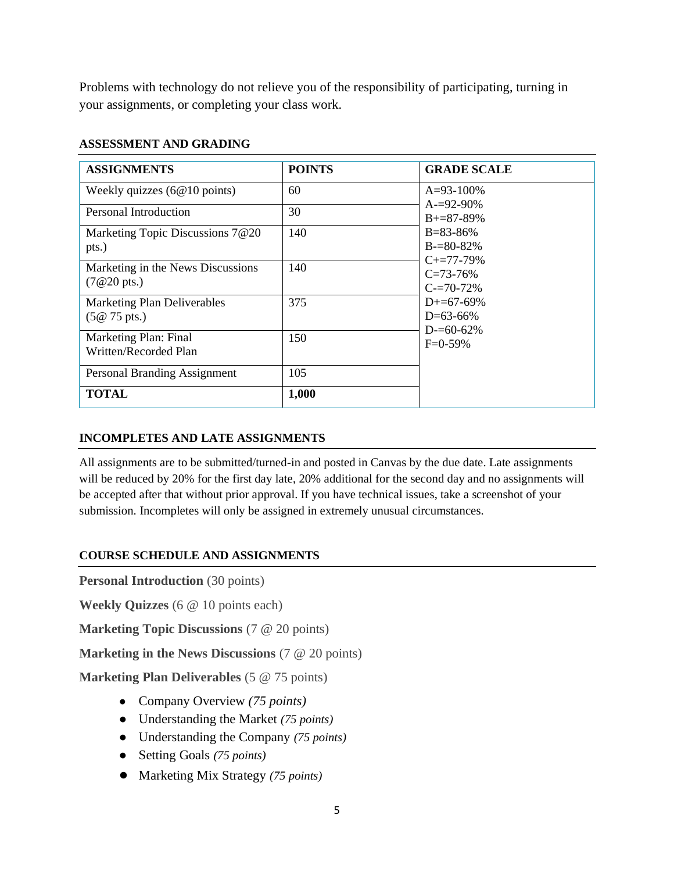Problems with technology do not relieve you of the responsibility of participating, turning in your assignments, or completing your class work.

### **ASSESSMENT AND GRADING**

| <b>ASSIGNMENTS</b>                     | <b>POINTS</b> | <b>GRADE SCALE</b>                                |
|----------------------------------------|---------------|---------------------------------------------------|
| Weekly quizzes $(6@10 \text{ points})$ | 60            | $A=93-100%$<br>$A = 92 - 90\%$<br>$B = 87 - 89\%$ |
| Personal Introduction                  | 30            |                                                   |
| Marketing Topic Discussions 7@20       | 140           | $B = 83 - 86%$                                    |
| pts.)                                  |               | $B = 80 - 82\%$                                   |
| Marketing in the News Discussions      | 140           | $C_{\pm}=77-79\%$<br>$C = 73 - 76%$               |
| $(7@20 \text{ pts.})$                  |               | $C = 70 - 72\%$                                   |
| <b>Marketing Plan Deliverables</b>     | 375           | $D+=67-69%$                                       |
| $(5@ 75 \text{ pts.})$                 |               | $D=63-66%$                                        |
| Marketing Plan: Final                  | 150           | $D = 60 - 62\%$<br>$F=0-59%$                      |
| Written/Recorded Plan                  |               |                                                   |
| Personal Branding Assignment           | 105           |                                                   |
| <b>TOTAL</b>                           | 1,000         |                                                   |

## **INCOMPLETES AND LATE ASSIGNMENTS**

All assignments are to be submitted/turned-in and posted in Canvas by the due date. Late assignments will be reduced by 20% for the first day late, 20% additional for the second day and no assignments will be accepted after that without prior approval. If you have technical issues, take a screenshot of your submission. Incompletes will only be assigned in extremely unusual circumstances.

#### **COURSE SCHEDULE AND ASSIGNMENTS**

**Personal Introduction** (30 points)

**Weekly Quizzes** (6 @ 10 points each)

**Marketing Topic Discussions** (7 @ 20 points)

**Marketing in the News Discussions** (7 @ 20 points)

**Marketing Plan Deliverables** (5 @ 75 points)

- Company Overview *(75 points)*
- Understanding the Market *(75 points)*
- Understanding the Company *(75 points)*
- Setting Goals *(75 points)*
- Marketing Mix Strategy *(75 points)*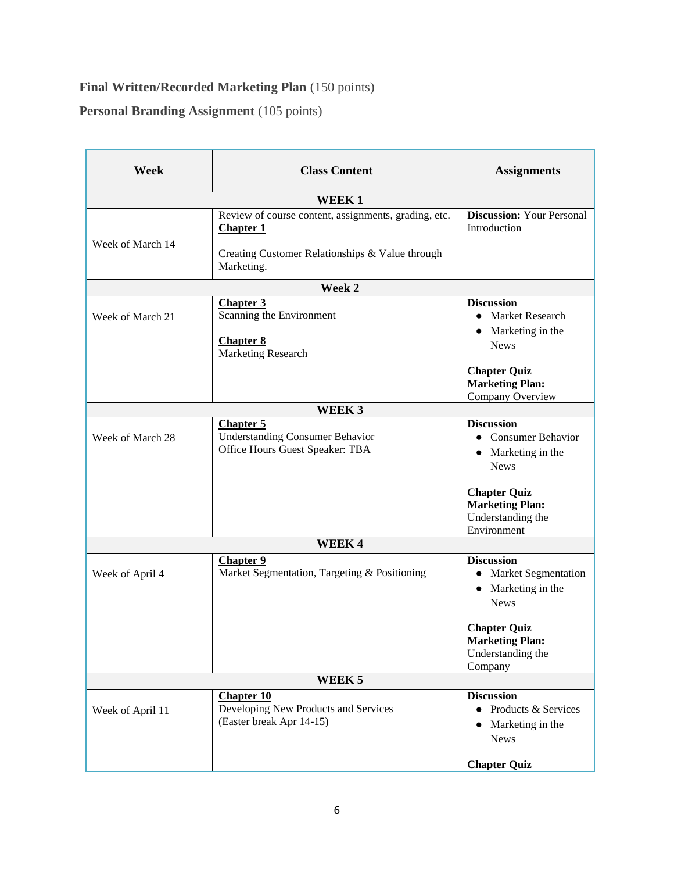# **Final Written/Recorded Marketing Plan** (150 points)

**Personal Branding Assignment** (105 points)

| Week              | <b>Class Content</b>                                                                                                                      | <b>Assignments</b>                                                                                    |  |
|-------------------|-------------------------------------------------------------------------------------------------------------------------------------------|-------------------------------------------------------------------------------------------------------|--|
| <b>WEEK1</b>      |                                                                                                                                           |                                                                                                       |  |
| Week of March 14  | Review of course content, assignments, grading, etc.<br><b>Chapter 1</b><br>Creating Customer Relationships & Value through<br>Marketing. | <b>Discussion: Your Personal</b><br>Introduction                                                      |  |
|                   | Week 2                                                                                                                                    |                                                                                                       |  |
| Week of March 21  | <b>Chapter 3</b><br>Scanning the Environment<br><b>Chapter 8</b><br><b>Marketing Research</b>                                             | <b>Discussion</b><br>• Market Research<br>Marketing in the<br>$\bullet$<br><b>News</b>                |  |
|                   |                                                                                                                                           | <b>Chapter Quiz</b><br><b>Marketing Plan:</b><br>Company Overview                                     |  |
|                   | WEEK 3                                                                                                                                    |                                                                                                       |  |
| Week of March 28  | <b>Chapter 5</b><br><b>Understanding Consumer Behavior</b><br>Office Hours Guest Speaker: TBA                                             | <b>Discussion</b><br>• Consumer Behavior<br>• Marketing in the<br><b>News</b>                         |  |
|                   |                                                                                                                                           | <b>Chapter Quiz</b><br><b>Marketing Plan:</b><br>Understanding the<br>Environment                     |  |
| <b>WEEK4</b>      |                                                                                                                                           |                                                                                                       |  |
| Week of April 4   | <b>Chapter 9</b><br>Market Segmentation, Targeting & Positioning                                                                          | <b>Discussion</b><br>Market Segmentation<br>$\bullet$<br>Marketing in the<br>$\bullet$<br><b>News</b> |  |
|                   |                                                                                                                                           | <b>Chapter Quiz</b><br><b>Marketing Plan:</b><br>Understanding the<br>Company                         |  |
| WEEK <sub>5</sub> |                                                                                                                                           |                                                                                                       |  |
| Week of April 11  | <b>Chapter 10</b><br>Developing New Products and Services<br>(Easter break Apr 14-15)                                                     | <b>Discussion</b><br>Products & Services<br>$\bullet$<br>Marketing in the<br>$\bullet$<br><b>News</b> |  |
|                   |                                                                                                                                           | <b>Chapter Quiz</b>                                                                                   |  |